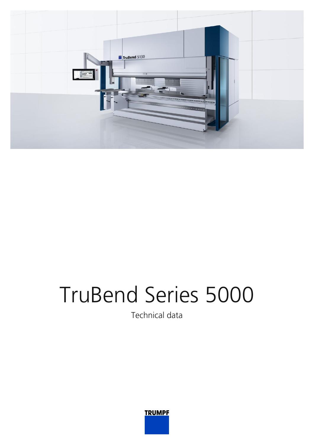

## TruBend Series 5000

Technical data

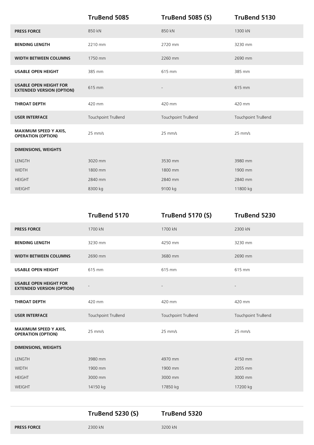|                                                                   | <b>TruBend 5085</b> | <b>TruBend 5085 (S)</b>  | <b>TruBend 5130</b> |
|-------------------------------------------------------------------|---------------------|--------------------------|---------------------|
| <b>PRESS FORCE</b>                                                | 850 kN              | 850 kN                   | 1300 kN             |
| <b>BENDING LENGTH</b>                                             | 2210 mm             | 2720 mm                  | 3230 mm             |
| <b>WIDTH BETWEEN COLUMNS</b>                                      | 1750 mm             | 2260 mm                  | 2690 mm             |
| <b>USABLE OPEN HEIGHT</b>                                         | 385 mm              | 615 mm                   | 385 mm              |
| <b>USABLE OPEN HEIGHT FOR</b><br><b>EXTENDED VERSION (OPTION)</b> | 615 mm              | $\overline{\phantom{a}}$ | 615 mm              |
| <b>THROAT DEPTH</b>                                               | 420 mm              | 420 mm                   | 420 mm              |
| <b>USER INTERFACE</b>                                             | Touchpoint TruBend  | Touchpoint TruBend       | Touchpoint TruBend  |
| <b>MAXIMUM SPEED Y AXIS,</b><br><b>OPERATION (OPTION)</b>         | $25$ mm/s           | $25$ mm/s                | $25$ mm/s           |
| <b>DIMENSIONS, WEIGHTS</b>                                        |                     |                          |                     |
| LENGTH                                                            | 3020 mm             | 3530 mm                  | 3980 mm             |
| <b>WIDTH</b>                                                      | 1800 mm             | 1800 mm                  | 1900 mm             |
| <b>HEIGHT</b>                                                     | 2840 mm             | 2840 mm                  | 2840 mm             |
| WEIGHT                                                            | 8300 kg             | 9100 kg                  | 11800 kg            |

| 1700 kN<br>1700 kN<br>2300 kN<br><b>PRESS FORCE</b>                                            |  |
|------------------------------------------------------------------------------------------------|--|
|                                                                                                |  |
| 3230 mm<br>4250 mm<br>3230 mm<br><b>BENDING LENGTH</b>                                         |  |
| <b>WIDTH BETWEEN COLUMNS</b><br>2690 mm<br>3680 mm<br>2690 mm                                  |  |
| 615 mm<br>615 mm<br><b>USABLE OPEN HEIGHT</b><br>615 mm                                        |  |
| <b>USABLE OPEN HEIGHT FOR</b><br>$\overline{a}$<br><b>EXTENDED VERSION (OPTION)</b>            |  |
| 420 mm<br>420 mm<br>420 mm<br><b>THROAT DEPTH</b>                                              |  |
| <b>USER INTERFACE</b><br>Touchpoint TruBend<br>Touchpoint TruBend<br>Touchpoint TruBend        |  |
| <b>MAXIMUM SPEED Y AXIS,</b><br>25 mm/s<br>$25$ mm/s<br>$25$ mm/s<br><b>OPERATION (OPTION)</b> |  |
| <b>DIMENSIONS, WEIGHTS</b>                                                                     |  |
| LENGTH<br>3980 mm<br>4970 mm<br>4150 mm                                                        |  |
| <b>WIDTH</b><br>1900 mm<br>1900 mm<br>2055 mm                                                  |  |
| 3000 mm<br><b>HEIGHT</b><br>3000 mm<br>3000 mm                                                 |  |
| WEIGHT<br>17850 kg<br>17200 kg<br>14150 kg                                                     |  |

|                    | <b>TruBend 5230 (S)</b> | TruBend 5320 |
|--------------------|-------------------------|--------------|
| <b>PRESS FORCE</b> | 2300 kN                 | 3200 kN      |